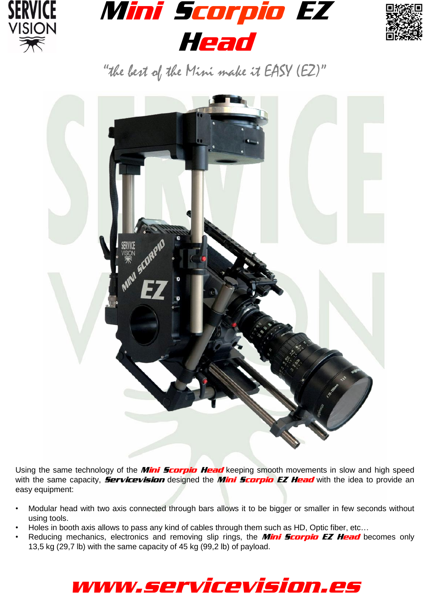





"the best of the Mini make it EASY (EZ)"



Using the same technology of the *Mini Scorpio Head* keeping smooth movements in slow and high speed with the same capacity, **Servicevision** designed the **Mini Scorpio EZ Head** with the idea to provide an easy equipment:

- Modular head with two axis connected through bars allows it to be bigger or smaller in few seconds without using tools.
- Holes in booth axis allows to pass any kind of cables through them such as HD, Optic fiber, etc…
- Reducing mechanics, electronics and removing slip rings, the *Mini Scorpio EZ Head* becomes only 13,5 kg (29,7 lb) with the same capacity of 45 kg (99,2 lb) of payload.

## www.servicevision.es